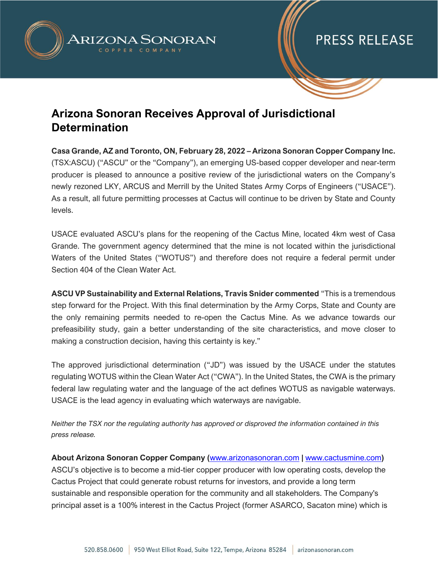

## **PRESS RELEASE**

### **Arizona Sonoran Receives Approval of Jurisdictional Determination**

**Casa Grande, AZ and Toronto, ON, February 28, 2022 – Arizona Sonoran Copper Company Inc.**  (TSX:ASCU) ("ASCU" or the "Company"), an emerging US-based copper developer and near-term producer is pleased to announce a positive review of the jurisdictional waters on the Company's newly rezoned LKY, ARCUS and Merrill by the United States Army Corps of Engineers ("USACE"). As a result, all future permitting processes at Cactus will continue to be driven by State and County levels.

USACE evaluated ASCU's plans for the reopening of the Cactus Mine, located 4km west of Casa Grande. The government agency determined that the mine is not located within the jurisdictional Waters of the United States ("WOTUS") and therefore does not require a federal permit under Section 404 of the Clean Water Act.

**ASCU VP Sustainability and External Relations, Travis Snider commented** "This is a tremendous step forward for the Project. With this final determination by the Army Corps, State and County are the only remaining permits needed to re-open the Cactus Mine. As we advance towards our prefeasibility study, gain a better understanding of the site characteristics, and move closer to making a construction decision, having this certainty is key."

The approved jurisdictional determination ("JD") was issued by the USACE under the statutes regulating WOTUS within the Clean Water Act ("CWA"). In the United States, the CWA is the primary federal law regulating water and the language of the act defines WOTUS as navigable waterways. USACE is the lead agency in evaluating which waterways are navigable.

*Neither the TSX nor the regulating authority has approved or disproved the information contained in this press release.* 

**About Arizona Sonoran Copper Company (**[www.arizonasonoran.com](http://www.arizonasonoran.com/) **|** [www.cactusmine.com](http://www.cactusmine.com/)**)** ASCU's objective is to become a mid-tier copper producer with low operating costs, develop the Cactus Project that could generate robust returns for investors, and provide a long term sustainable and responsible operation for the community and all stakeholders. The Company's principal asset is a 100% interest in the Cactus Project (former ASARCO, Sacaton mine) which is